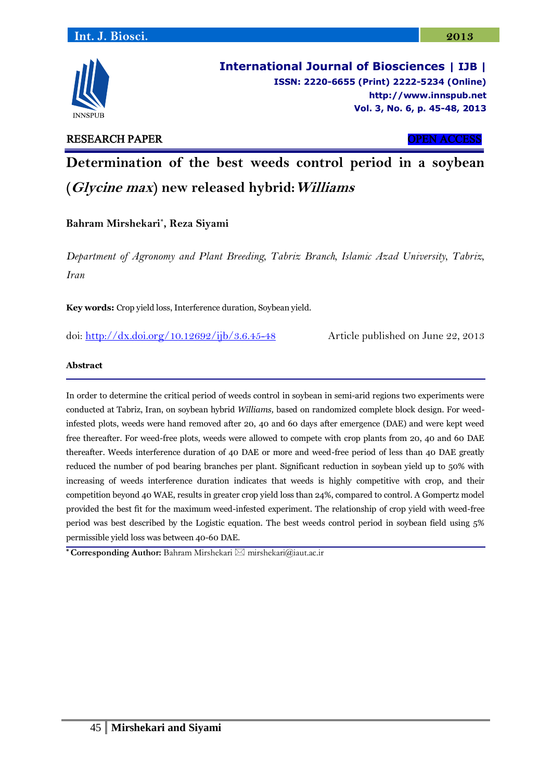

**International Journal of Biosciences | IJB | ISSN: 2220-6655 (Print) 2222-5234 (Online) [http://www.](http://www/)innspub.net Vol. 3, No. 6, p. 45-48, 2013**

# RESEARCH PAPER OPEN ACCESS

**Determination of the best weeds control period in a soybean (Glycine max) new released hybrid:Williams**

**Bahram Mirshekari\* , Reza Siyami**

*Department of Agronomy and Plant Breeding, Tabriz Branch, Islamic Azad University, Tabriz, Iran*

**Key words:** Crop yield loss, Interference duration, Soybean yield.

doi:<http://dx.doi.org/10.12692/ijb/3.6.45-48> Article published on June 22, 2013

## **Abstract**

In order to determine the critical period of weeds control in soybean in semi-arid regions two experiments were conducted at Tabriz, Iran, on soybean hybrid *Williams,* based on randomized complete block design. For weedinfested plots, weeds were hand removed after 20, 40 and 60 days after emergence (DAE) and were kept weed free thereafter. For weed-free plots, weeds were allowed to compete with crop plants from 20, 40 and 60 DAE thereafter. Weeds interference duration of 40 DAE or more and weed-free period of less than 40 DAE greatly reduced the number of pod bearing branches per plant. Significant reduction in soybean yield up to 50% with increasing of weeds interference duration indicates that weeds is highly competitive with crop, and their competition beyond 40 WAE, results in greater crop yield loss than 24%, compared to control. A Gompertz model provided the best fit for the maximum weed-infested experiment. The relationship of crop yield with weed-free period was best described by the Logistic equation. The best weeds control period in soybean field using 5% permissible yield loss was between 40-60 DAE.

**\* Corresponding Author:** Bahram Mirshekari mirshekari@iaut.ac.ir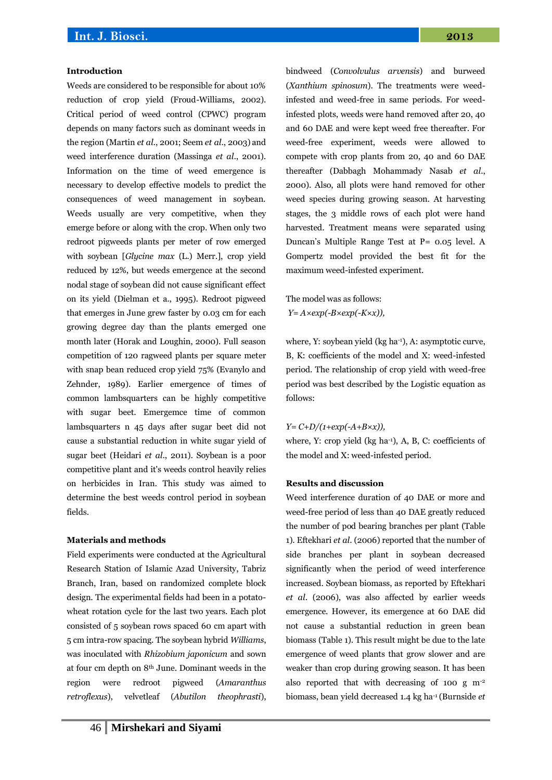### **Introduction**

Weeds are considered to be responsible for about 10% reduction of crop yield (Froud-Williams, 2002). Critical period of weed control (CPWC) program depends on many factors such as dominant weeds in the region (Martin *et al*., 2001; Seem *et al*., 2003) and weed interference duration (Massinga *et al*., 2001). Information on the time of weed emergence is necessary to develop effective models to predict the consequences of weed management in soybean. Weeds usually are very competitive, when they emerge before or along with the crop. When only two redroot pigweeds plants per meter of row emerged with soybean [*Glycine max* (L.) Merr.], crop yield reduced by 12%, but weeds emergence at the second nodal stage of soybean did not cause significant effect on its yield (Dielman et a., 1995). Redroot pigweed that emerges in June grew faster by 0.03 cm for each growing degree day than the plants emerged one month later (Horak and Loughin, 2000). Full season competition of 120 ragweed plants per square meter with snap bean reduced crop yield 75% (Evanylo and Zehnder, 1989). Earlier emergence of times of common lambsquarters can be highly competitive with sugar beet. Emergemce time of common lambsquarters n 45 days after sugar beet did not cause a substantial reduction in white sugar yield of sugar beet (Heidari *et al*., 2011). Soybean is a poor competitive plant and it's weeds control heavily relies on herbicides in Iran. This study was aimed to determine the best weeds control period in soybean fields.

#### **Materials and methods**

Field experiments were conducted at the Agricultural Research Station of Islamic Azad University, Tabriz Branch, Iran, based on randomized complete block design. The experimental fields had been in a potatowheat rotation cycle for the last two years. Each plot consisted of 5 soybean rows spaced 60 cm apart with 5 cm intra-row spacing. The soybean hybrid *Williams*, was inoculated with *Rhizobium japonicum* and sown at four cm depth on 8th June. Dominant weeds in the region were redroot pigweed (*Amaranthus retroflexus*), velvetleaf (*Abutilon theophrasti*), bindweed (*Convolvulus arvensis*) and burweed (*Xanthium spinosum*). The treatments were weedinfested and weed-free in same periods. For weedinfested plots, weeds were hand removed after 20, 40 and 60 DAE and were kept weed free thereafter. For weed-free experiment, weeds were allowed to compete with crop plants from 20, 40 and 60 DAE thereafter (Dabbagh Mohammady Nasab *et al*., 2000). Also, all plots were hand removed for other weed species during growing season. At harvesting stages, the 3 middle rows of each plot were hand harvested. Treatment means were separated using Duncan's Multiple Range Test at P= 0.05 level. A Gompertz model provided the best fit for the maximum weed-infested experiment.

The model was as follows: *Y= A×exp(-B×exp(-K×x)),* 

where, Y: soybean yield (kg ha<sup>-1</sup>), A: asymptotic curve, B, K: coefficients of the model and X: weed-infested period. The relationship of crop yield with weed-free period was best described by the Logistic equation as follows:

### *Y= C+D/(1+exp(-A+B×x)),*

where, Y: crop yield  $(kg ha<sup>-1</sup>)$ , A, B, C: coefficients of the model and X: weed-infested period.

#### **Results and discussion**

Weed interference duration of 40 DAE or more and weed-free period of less than 40 DAE greatly reduced the number of pod bearing branches per plant (Table 1). Eftekhari *et al*. (2006) reported that the number of side branches per plant in soybean decreased significantly when the period of weed interference increased. Soybean biomass, as reported by Eftekhari *et al*. (2006), was also affected by earlier weeds emergence. However, its emergence at 60 DAE did not cause a substantial reduction in green bean biomass (Table 1). This result might be due to the late emergence of weed plants that grow slower and are weaker than crop during growing season. It has been also reported that with decreasing of 100 g m-2 biomass, bean yield decreased 1.4 kg ha-1 (Burnside *et*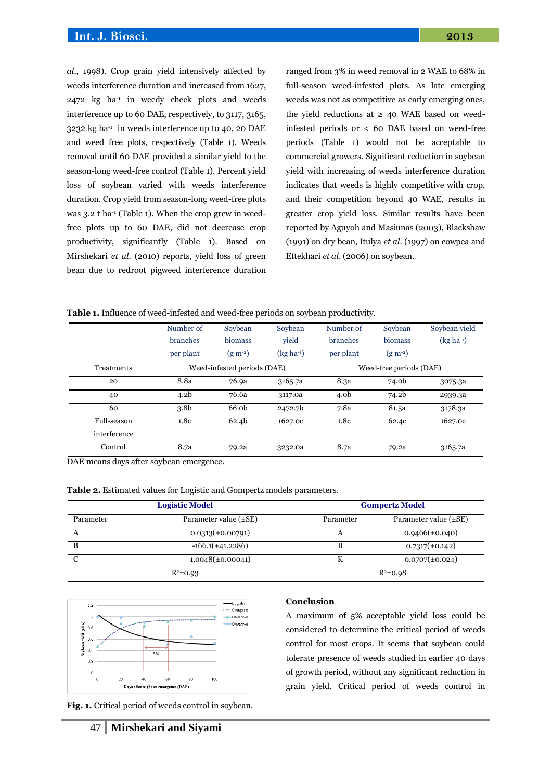*al*., 1998). Crop grain yield intensively affected by weeds interference duration and increased from 1627,  $2472$  kg ha<sup>-1</sup> in weedy check plots and weeds interference up to 60 DAE, respectively, to 3117, 3165, 3232 kg ha-1 in weeds interference up to 40, 20 DAE and weed free plots, respectively (Table 1). Weeds removal until 60 DAE provided a similar yield to the season-long weed-free control (Table 1). Percent yield loss of soybean varied with weeds interference duration. Crop yield from season-long weed-free plots was 3.2 t ha<sup>-1</sup> (Table 1). When the crop grew in weedfree plots up to 60 DAE, did not decrease crop productivity, significantly (Table 1). Based on Mirshekari *et al*. (2010) reports, yield loss of green bean due to redroot pigweed interference duration ranged from 3% in weed removal in 2 WAE to 68% in full-season weed-infested plots. As late emerging weeds was not as competitive as early emerging ones, the yield reductions at  $\geq 40$  WAE based on weedinfested periods or < 60 DAE based on weed-free periods (Table 1) would not be acceptable to commercial growers. Significant reduction in soybean yield with increasing of weeds interference duration indicates that weeds is highly competitive with crop, and their competition beyond 40 WAE, results in greater crop yield loss. Similar results have been reported by Aguyoh and Masiunas (2003), Blackshaw (1991) on dry bean, Itulya *et al*. (1997) on cowpea and Eftekhari *et al*. (2006) on soybean.

| Table 1. Influence of weed-infested and weed-free periods on soybean productivity. |  |  |  |  |
|------------------------------------------------------------------------------------|--|--|--|--|
|                                                                                    |  |  |  |  |

|              | Number of        | Soybean                     | Soybean     | Number of        | Soybean                 | Soybean yield |
|--------------|------------------|-----------------------------|-------------|------------------|-------------------------|---------------|
|              | branches         | biomass                     | vield       | branches         | biomass                 | $(kg ha-1)$   |
|              | per plant        | $(g m^{-2})$                | $(kg ha-1)$ | per plant        | $(g m^{-2})$            |               |
| Treatments   |                  | Weed-infested periods (DAE) |             |                  | Weed-free periods (DAE) |               |
| 20           | 8.8a             | 76.9a                       | 3165.7a     | 8.3a             | 74.0b                   | 3075.3a       |
| 40           | 4.2 <sub>b</sub> | 76.6a                       | 3117.0a     | 4.0 <sub>b</sub> | 74.2b                   | 2939.3a       |
| 60           | 3.8 <sub>b</sub> | 66.0b                       | 2472.7b     | 7.8a             | 81.5a                   | 3178.3a       |
| Full-season  | 1.8c             | 62.4b                       | 1627.0c     | 1.8c             | 62.4c                   | 1627.0c       |
| interference |                  |                             |             |                  |                         |               |
| Control      | 8.7a             | 79.2a                       | 3232.0a     | 8.7a             | 79.2a                   | 3165.7a       |

DAE means days after soybean emergence.

**Table 2.** Estimated values for Logistic and Gompertz models parameters.

|           | <b>Logistic Model</b>      | <b>Gompertz Model</b> |                            |  |
|-----------|----------------------------|-----------------------|----------------------------|--|
| Parameter | Parameter value $(\pm SE)$ | Parameter             | Parameter value $(\pm SE)$ |  |
| А         | $0.0313(\pm 0.00791)$      | A                     | $0.9466(\pm 0.040)$        |  |
| в         | $-166.1(\pm 41.2286)$      |                       | $0.7317(\pm 0.142)$        |  |
|           | $1.0048(\pm 0.00041)$      | A                     | $0.0707(\pm 0.024)$        |  |
|           | $R^2 = 0.93$               |                       | $R^2 = 0.98$               |  |



**Fig. 1.** Critical period of weeds control in soybean.

#### **Conclusion**

A maximum of 5% acceptable yield loss could be considered to determine the critical period of weeds control for most crops. It seems that soybean could tolerate presence of weeds studied in earlier 40 days of growth period, without any significant reduction in grain yield. Critical period of weeds control in